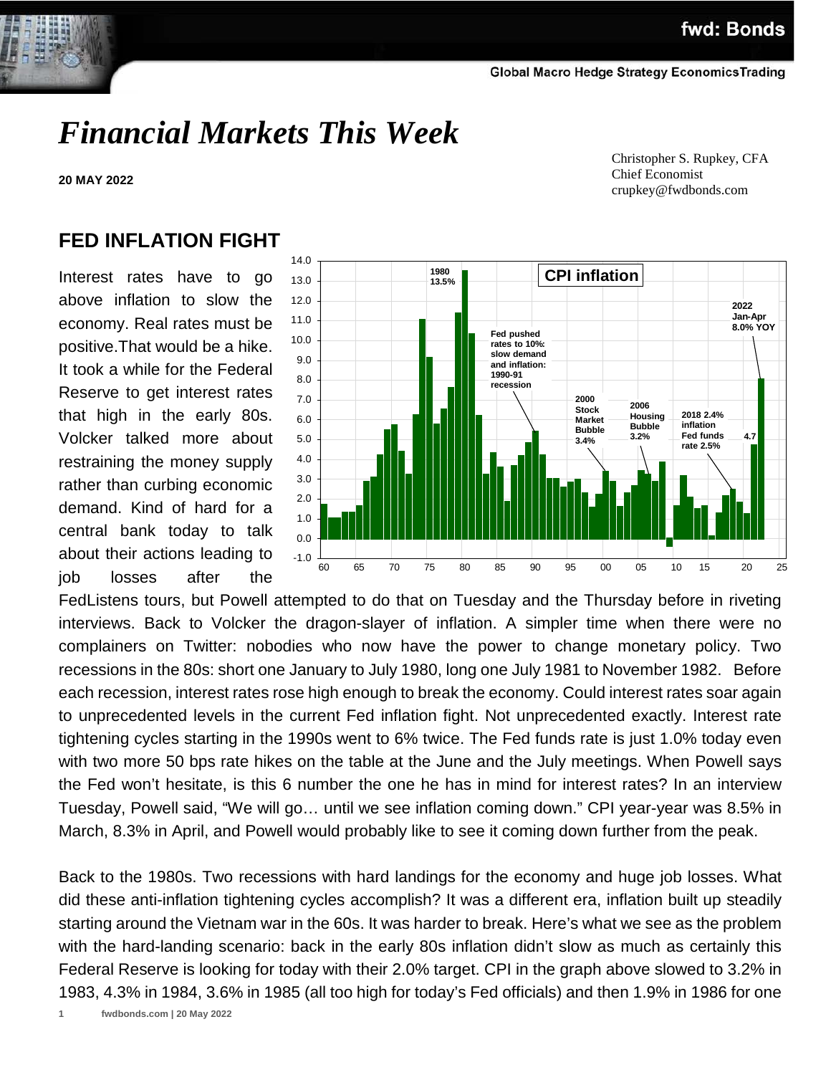# *Financial Markets This Week*

**20 MAY 2022**

 Christopher S. Rupkey, CFA Chief Economist crupkey@fwdbonds.com

## **FED INFLATION FIGHT**

Interest rates have to go above inflation to slow the economy. Real rates must be positive.That would be a hike. It took a while for the Federal Reserve to get interest rates that high in the early 80s. Volcker talked more about restraining the money supply rather than curbing economic demand. Kind of hard for a central bank today to talk about their actions leading to job losses after the



FedListens tours, but Powell attempted to do that on Tuesday and the Thursday before in riveting interviews. Back to Volcker the dragon-slayer of inflation. A simpler time when there were no complainers on Twitter: nobodies who now have the power to change monetary policy. Two recessions in the 80s: short one January to July 1980, long one July 1981 to November 1982. Before each recession, interest rates rose high enough to break the economy. Could interest rates soar again to unprecedented levels in the current Fed inflation fight. Not unprecedented exactly. Interest rate tightening cycles starting in the 1990s went to 6% twice. The Fed funds rate is just 1.0% today even with two more 50 bps rate hikes on the table at the June and the July meetings. When Powell says the Fed won't hesitate, is this 6 number the one he has in mind for interest rates? In an interview Tuesday, Powell said, "We will go… until we see inflation coming down." CPI year-year was 8.5% in March, 8.3% in April, and Powell would probably like to see it coming down further from the peak.

Back to the 1980s. Two recessions with hard landings for the economy and huge job losses. What did these anti-inflation tightening cycles accomplish? It was a different era, inflation built up steadily starting around the Vietnam war in the 60s. It was harder to break. Here's what we see as the problem with the hard-landing scenario: back in the early 80s inflation didn't slow as much as certainly this Federal Reserve is looking for today with their 2.0% target. CPI in the graph above slowed to 3.2% in 1983, 4.3% in 1984, 3.6% in 1985 (all too high for today's Fed officials) and then 1.9% in 1986 for one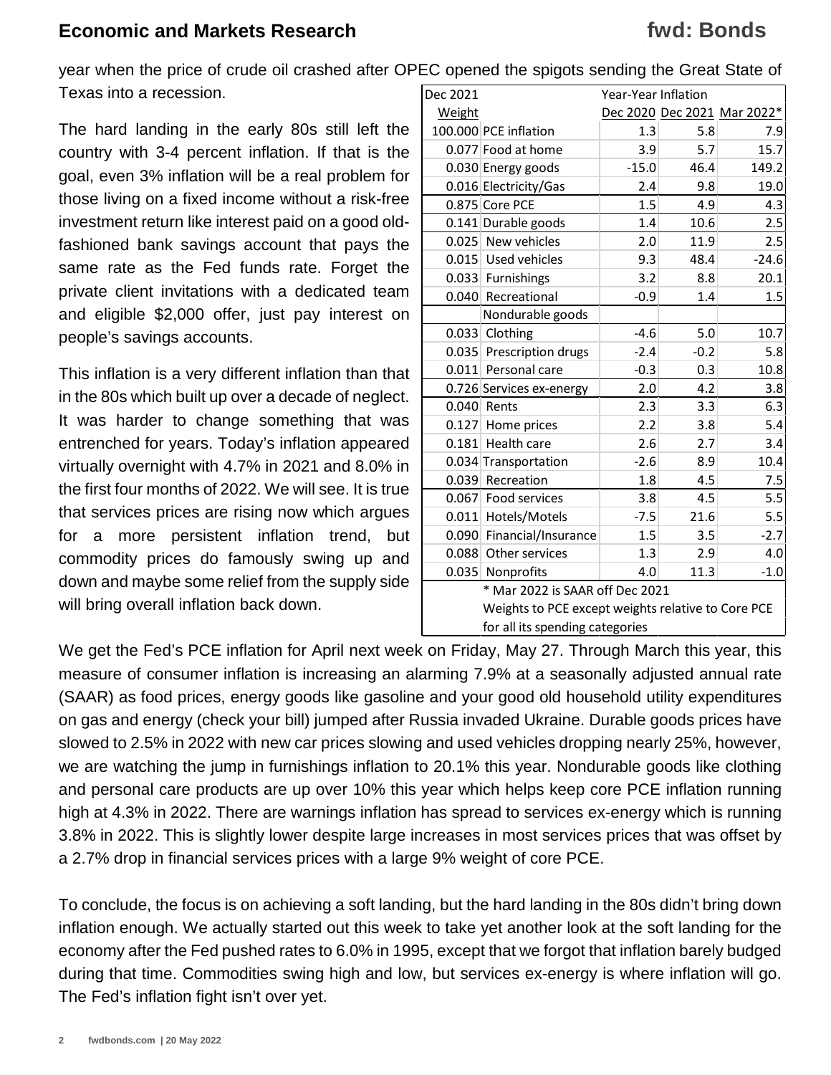## **fwd: Bonds**

year when the price of crude oil crashed after OPEC opened the spigots sending the Great State of Texas into a recession. Dec 2021 Year-Year Inflation

The hard landing in the early 80s still left the country with 3-4 percent inflation. If that is the goal, even 3% inflation will be a real problem for those living on a fixed income without a risk-free investment return like interest paid on a good oldfashioned bank savings account that pays the same rate as the Fed funds rate. Forget the private client invitations with a dedicated team and eligible \$2,000 offer, just pay interest on people's savings accounts.

This inflation is a very different inflation than that in the 80s which built up over a decade of neglect. It was harder to change something that was entrenched for years. Today's inflation appeared virtually overnight with 4.7% in 2021 and 8.0% in the first four months of 2022. We will see. It is true that services prices are rising now which argues for a more persistent inflation trend, but commodity prices do famously swing up and down and maybe some relief from the supply side will bring overall inflation back down.

| Year-Year Inflation<br>Dec 2021 |                                                    |         |        |                             |  |  |  |  |
|---------------------------------|----------------------------------------------------|---------|--------|-----------------------------|--|--|--|--|
| <b>Weight</b>                   |                                                    |         |        | Dec 2020 Dec 2021 Mar 2022* |  |  |  |  |
|                                 | 100.000 PCE inflation                              | 1.3     | 5.8    | 7.9                         |  |  |  |  |
|                                 | 0.077 Food at home                                 | 3.9     | 5.7    | 15.7                        |  |  |  |  |
|                                 | 0.030 Energy goods                                 | $-15.0$ | 46.4   | 149.2                       |  |  |  |  |
|                                 | 0.016 Electricity/Gas                              | 2.4     | 9.8    | 19.0                        |  |  |  |  |
|                                 | 0.875 Core PCE                                     | 1.5     | 4.9    | 4.3                         |  |  |  |  |
|                                 | 0.141 Durable goods                                | 1.4     | 10.6   | 2.5                         |  |  |  |  |
|                                 | 0.025 New vehicles                                 | 2.0     | 11.9   | 2.5                         |  |  |  |  |
|                                 | 0.015 Used vehicles                                | 9.3     | 48.4   | $-24.6$                     |  |  |  |  |
|                                 | 0.033 Furnishings                                  | 3.2     | 8.8    | 20.1                        |  |  |  |  |
|                                 | 0.040 Recreational                                 | $-0.9$  | 1.4    | 1.5                         |  |  |  |  |
|                                 | Nondurable goods                                   |         |        |                             |  |  |  |  |
|                                 | 0.033 Clothing                                     | $-4.6$  | 5.0    | 10.7                        |  |  |  |  |
| 0.035                           | Prescription drugs                                 | $-2.4$  | $-0.2$ | 5.8                         |  |  |  |  |
|                                 | 0.011 Personal care                                | $-0.3$  | 0.3    | 10.8                        |  |  |  |  |
|                                 | 0.726 Services ex-energy                           | 2.0     | 4.2    | 3.8                         |  |  |  |  |
|                                 | 0.040 Rents                                        | 2.3     | 3.3    | 6.3                         |  |  |  |  |
| 0.127                           | Home prices                                        | 2.2     | 3.8    | 5.4                         |  |  |  |  |
| 0.181                           | Health care                                        | 2.6     | 2.7    | 3.4                         |  |  |  |  |
|                                 | 0.034 Transportation                               | $-2.6$  | 8.9    | 10.4                        |  |  |  |  |
| 0.039                           | Recreation                                         | 1.8     | 4.5    | $7.5\,$                     |  |  |  |  |
| 0.067                           | Food services                                      | 3.8     | 4.5    | 5.5                         |  |  |  |  |
|                                 | 0.011 Hotels/Motels                                | $-7.5$  | 21.6   | 5.5                         |  |  |  |  |
|                                 | 0.090 Financial/Insurance                          | 1.5     | 3.5    | $-2.7$                      |  |  |  |  |
| 0.088                           | Other services                                     | 1.3     | 2.9    | 4.0                         |  |  |  |  |
| 0.035                           | Nonprofits                                         | 4.0     | 11.3   | $-1.0$                      |  |  |  |  |
|                                 | * Mar 2022 is SAAR off Dec 2021                    |         |        |                             |  |  |  |  |
|                                 | Weights to PCE except weights relative to Core PCE |         |        |                             |  |  |  |  |
|                                 | for all its spending categories                    |         |        |                             |  |  |  |  |

We get the Fed's PCE inflation for April next week on Friday, May 27. Through March this year, this measure of consumer inflation is increasing an alarming 7.9% at a seasonally adjusted annual rate (SAAR) as food prices, energy goods like gasoline and your good old household utility expenditures on gas and energy (check your bill) jumped after Russia invaded Ukraine. Durable goods prices have slowed to 2.5% in 2022 with new car prices slowing and used vehicles dropping nearly 25%, however, we are watching the jump in furnishings inflation to 20.1% this year. Nondurable goods like clothing and personal care products are up over 10% this year which helps keep core PCE inflation running high at 4.3% in 2022. There are warnings inflation has spread to services ex-energy which is running 3.8% in 2022. This is slightly lower despite large increases in most services prices that was offset by a 2.7% drop in financial services prices with a large 9% weight of core PCE.

To conclude, the focus is on achieving a soft landing, but the hard landing in the 80s didn't bring down inflation enough. We actually started out this week to take yet another look at the soft landing for the economy after the Fed pushed rates to 6.0% in 1995, except that we forgot that inflation barely budged during that time. Commodities swing high and low, but services ex-energy is where inflation will go. The Fed's inflation fight isn't over yet.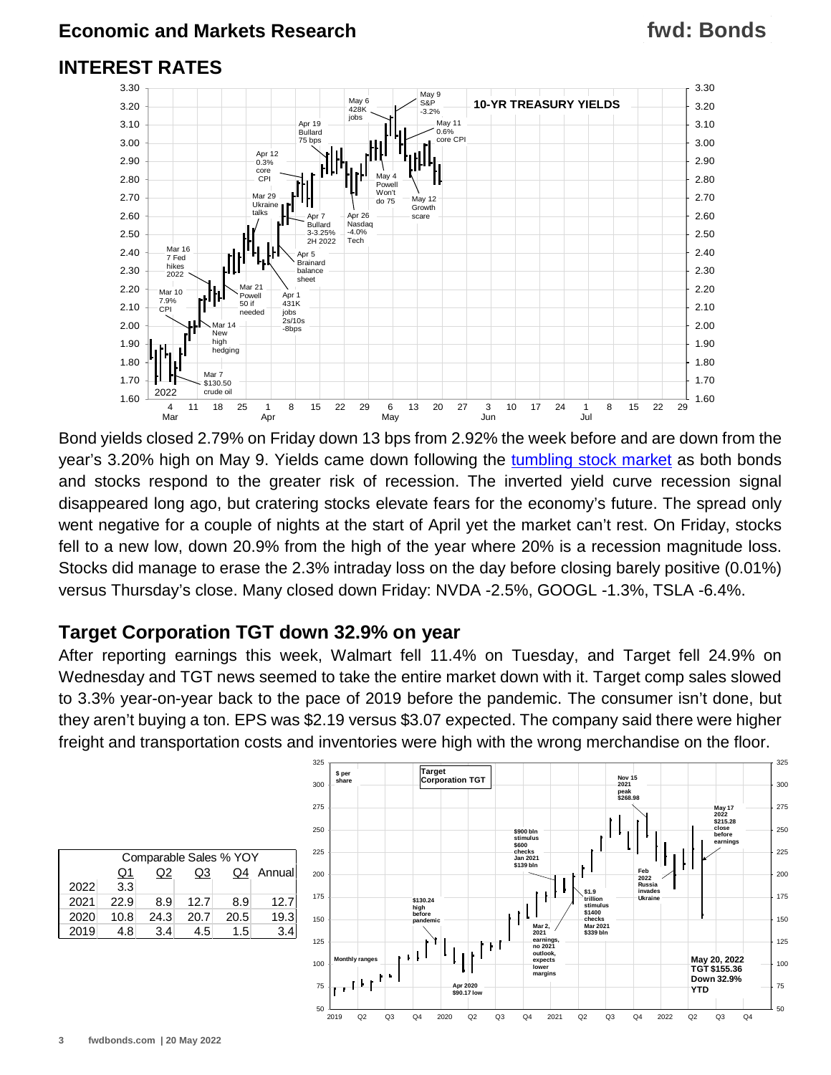#### **INTEREST RATES**



Bond yields closed 2.79% on Friday down 13 bps from 2.92% the week before and are down from the year's 3.20% high on May 9. Yields came down following the [tumbling stock market](https://www.fwdbonds.com/images/The_Stock_Show_.mp4) as both bonds and stocks respond to the greater risk of recession. The inverted yield curve recession signal disappeared long ago, but cratering stocks elevate fears for the economy's future. The spread only went negative for a couple of nights at the start of April yet the market can't rest. On Friday, stocks fell to a new low, down 20.9% from the high of the year where 20% is a recession magnitude loss. Stocks did manage to erase the 2.3% intraday loss on the day before closing barely positive (0.01%) versus Thursday's close. Many closed down Friday: NVDA -2.5%, GOOGL -1.3%, TSLA -6.4%.

#### **Target Corporation TGT down 32.9% on year**

After reporting earnings this week, Walmart fell 11.4% on Tuesday, and Target fell 24.9% on Wednesday and TGT news seemed to take the entire market down with it. Target comp sales slowed to 3.3% year-on-year back to the pace of 2019 before the pandemic. The consumer isn't done, but they aren't buying a ton. EPS was \$2.19 versus \$3.07 expected. The company said there were higher freight and transportation costs and inventories were high with the wrong merchandise on the floor.

| Comparable Sales % YOY |      |      |      |      |        |  |  |  |  |
|------------------------|------|------|------|------|--------|--|--|--|--|
|                        | Q1   | Q2   | Q3   | Q4   | Annual |  |  |  |  |
| 2022                   | 3.3  |      |      |      |        |  |  |  |  |
| 2021                   | 22.9 | 8.9  | 12.7 | 8.9  | 12.7   |  |  |  |  |
| 2020                   | 10.8 | 24.3 | 20.7 | 20.5 | 19.3   |  |  |  |  |
| 2019                   | 4.8  | 3.4  | 4.5  | 1.5  | 3.4    |  |  |  |  |

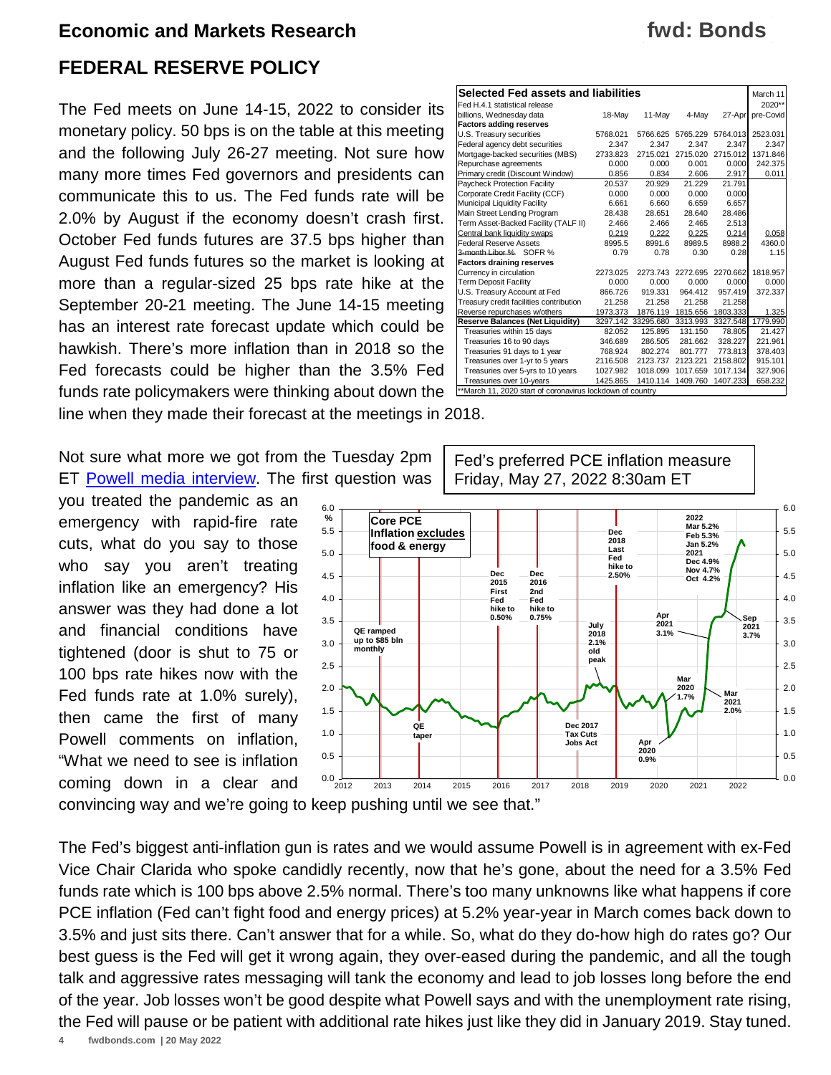#### **FEDERAL RESERVE POLICY**

The Fed meets on June 14-15, 2022 to consider its monetary policy. 50 bps is on the table at this meeting and the following July 26-27 meeting. Not sure how many more times Fed governors and presidents can communicate this to us. The Fed funds rate will be 2.0% by August if the economy doesn't crash first. October Fed funds futures are 37.5 bps higher than August Fed funds futures so the market is looking at more than a regular-sized 25 bps rate hike at the September 20-21 meeting. The June 14-15 meeting has an interest rate forecast update which could be hawkish. There's more inflation than in 2018 so the Fed forecasts could be higher than the 3.5% Fed funds rate policymakers were thinking about down the line when they made their forecast at the meetings in 2018.

Not sure what more we got from the Tuesday 2pm ET [Powell media interview.](https://www.youtube.com/watch?v=BwYrbCG_C_U) The first question was

you treated the pandemic as an emergency with rapid-fire rate cuts, what do you say to those who say you aren't treating inflation like an emergency? His answer was they had done a lot and financial conditions have tightened (door is shut to 75 or 100 bps rate hikes now with the Fed funds rate at 1.0% surely), then came the first of many Powell comments on inflation, "What we need to see is inflation coming down in a clear and



**Dec 2017 Tax Cuts Jobs Act**

2012 2013 2014 2015 2016 2017 2018 2019 2020 2021 2022

convincing way and we're going to keep pushing until we see that."

 $0.0\frac{1}{2012}$ 0.5 1.0 1.5 2.0 2.5 3.0 3.5 4.0 4.5 5.0 5.5 6.0

**%**

The Fed's biggest anti-inflation gun is rates and we would assume Powell is in agreement with ex-Fed Vice Chair Clarida who spoke candidly recently, now that he's gone, about the need for a 3.5% Fed funds rate which is 100 bps above 2.5% normal. There's too many unknowns like what happens if core PCE inflation (Fed can't fight food and energy prices) at 5.2% year-year in March comes back down to 3.5% and just sits there. Can't answer that for a while. So, what do they do-how high do rates go? Our best guess is the Fed will get it wrong again, they over-eased during the pandemic, and all the tough talk and aggressive rates messaging will tank the economy and lead to job losses long before the end of the year. Job losses won't be good despite what Powell says and with the unemployment rate rising, the Fed will pause or be patient with additional rate hikes just like they did in January 2019. Stay tuned.

**QE taper**

## **fwd: Bonds**

0.0 0.5 1.0 1.5 2.0

**Mar 2021 2.0%**

**Mar 2020 1.7%**

**Apr 2020 0.9%**

| Selected Fed assets and liabilities                       |          |                    |          |          |           |  |  |  |  |
|-----------------------------------------------------------|----------|--------------------|----------|----------|-----------|--|--|--|--|
| Fed H.4.1 statistical release                             |          |                    |          |          | $2020**$  |  |  |  |  |
| billions, Wednesday data                                  | 18-May   | 11-Mav             | 4-May    | 27-Apr   | pre-Covid |  |  |  |  |
| <b>Factors adding reserves</b>                            |          |                    |          |          |           |  |  |  |  |
| U.S. Treasury securities                                  | 5768.021 | 5766.625           | 5765.229 | 5764.013 | 2523.031  |  |  |  |  |
| Federal agency debt securities                            | 2.347    | 2.347              | 2.347    | 2.347    | 2.347     |  |  |  |  |
| Mortgage-backed securities (MBS)                          | 2733.823 | 2715.021           | 2715.020 | 2715.012 | 1371.846  |  |  |  |  |
| Repurchase agreements                                     | 0.000    | 0.000              | 0.001    | 0.000    | 242.375   |  |  |  |  |
| Primary credit (Discount Window)                          | 0.856    | 0.834              | 2.606    | 2.917    | 0.011     |  |  |  |  |
| Paycheck Protection Facility                              | 20.537   | 20.929             | 21.229   | 21.791   |           |  |  |  |  |
| Corporate Credit Facility (CCF)                           | 0.000    | 0.000              | 0.000    | 0.000    |           |  |  |  |  |
| Municipal Liquidity Facility                              | 6.661    | 6.660              | 6.659    | 6.657    |           |  |  |  |  |
| Main Street Lending Program                               | 28.438   | 28.651             | 28.640   | 28.486   |           |  |  |  |  |
| Term Asset-Backed Facility (TALF II)                      | 2.466    | 2.466              | 2.465    | 2.513    |           |  |  |  |  |
| Central bank liquidity swaps                              | 0.219    | 0.222              | 0.225    | 0.214    | 0.058     |  |  |  |  |
| <b>Federal Reserve Assets</b>                             | 8995.5   | 8991.6             | 8989.5   | 8988.2   | 4360.0    |  |  |  |  |
| 3-month Libor % SOFR %                                    | 0.79     | 0.78               | 0.30     | 0.28     | 1.15      |  |  |  |  |
| <b>Factors draining reserves</b>                          |          |                    |          |          |           |  |  |  |  |
| Currency in circulation                                   | 2273.025 | 2273.743           | 2272.695 | 2270.662 | 1818.957  |  |  |  |  |
| <b>Term Deposit Facility</b>                              | 0.000    | 0.000              | 0.000    | 0.000    | 0.000     |  |  |  |  |
| U.S. Treasury Account at Fed                              | 866.726  | 919.331            | 964.412  | 957.419  | 372.337   |  |  |  |  |
| Treasury credit facilities contribution                   | 21.258   | 21.258             | 21.258   | 21.258   |           |  |  |  |  |
| Reverse repurchases w/others                              | 1973.373 | 1876.119           | 1815.656 | 1803.333 | 1.325     |  |  |  |  |
| <b>Reserve Balances (Net Liquidity)</b>                   |          | 3297.142 33295.680 | 3313.993 | 3327.548 | 1779.990  |  |  |  |  |
| Treasuries within 15 days                                 | 82.052   | 125.895            | 131.150  | 78.805   | 21.427    |  |  |  |  |
| Treasuries 16 to 90 days                                  | 346.689  | 286.505            | 281.662  | 328.227  | 221.961   |  |  |  |  |
| Treasuries 91 days to 1 year                              | 768.924  | 802.274            | 801.777  | 773.813  | 378.403   |  |  |  |  |
| Treasuries over 1-yr to 5 years                           | 2116.508 | 2123.737           | 2123.221 | 2158.802 | 915.101   |  |  |  |  |
| Treasuries over 5-yrs to 10 years                         | 1027.982 | 1018.099           | 1017.659 | 1017.134 | 327.906   |  |  |  |  |
| Treasuries over 10-years                                  | 1425.865 | 1410.114           | 1409.760 | 1407.233 | 658.232   |  |  |  |  |
| **March 11, 2020 start of coronavirus lockdown of country |          |                    |          |          |           |  |  |  |  |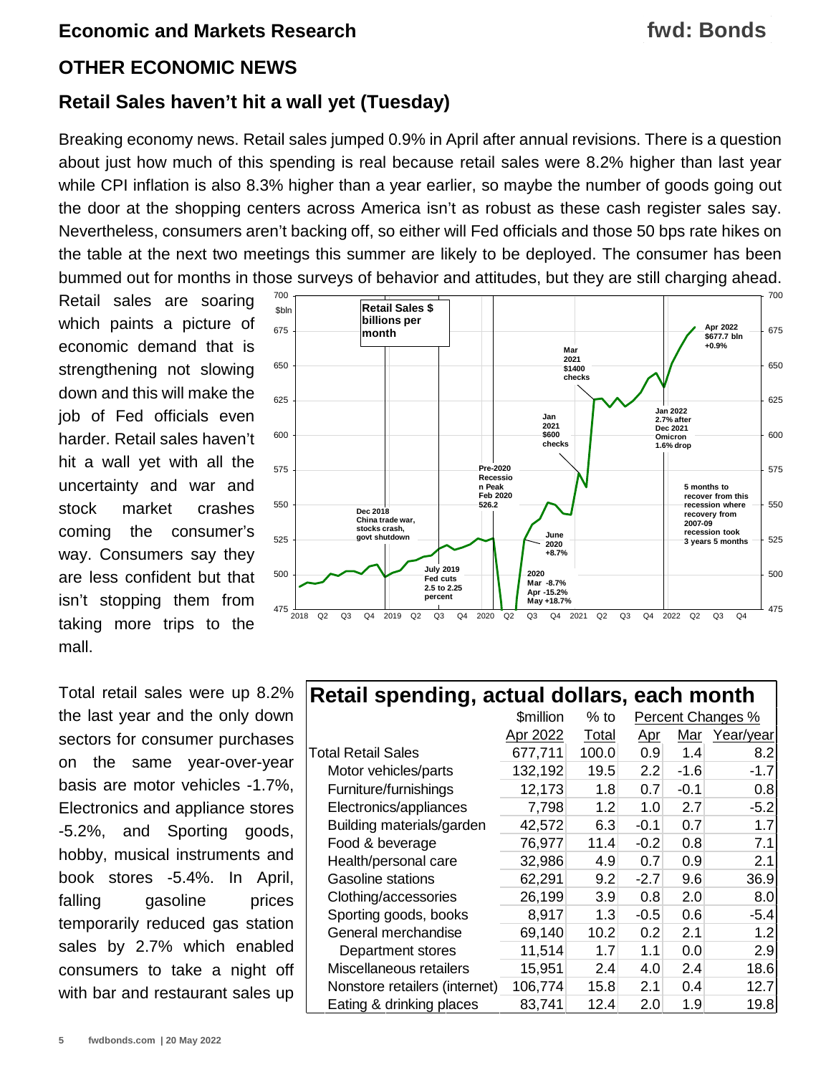## **fwd: Bonds**

#### **OTHER ECONOMIC NEWS**

#### **Retail Sales haven't hit a wall yet (Tuesday)**

Breaking economy news. Retail sales jumped 0.9% in April after annual revisions. There is a question about just how much of this spending is real because retail sales were 8.2% higher than last year while CPI inflation is also 8.3% higher than a year earlier, so maybe the number of goods going out the door at the shopping centers across America isn't as robust as these cash register sales say. Nevertheless, consumers aren't backing off, so either will Fed officials and those 50 bps rate hikes on the table at the next two meetings this summer are likely to be deployed. The consumer has been bummed out for months in those surveys of behavior and attitudes, but they are still charging ahead.

Retail sales are soaring which paints a picture of economic demand that is strengthening not slowing down and this will make the job of Fed officials even harder. Retail sales haven't hit a wall yet with all the uncertainty and war and stock market crashes coming the consumer's way. Consumers say they are less confident but that isn't stopping them from taking more trips to the mall.

Total retail sales were up 8.2% the last year and the only down sectors for consumer purchases on the same year-over-year basis are motor vehicles -1.7%, Electronics and appliance stores -5.2%, and Sporting goods, hobby, musical instruments and book stores -5.4%. In April, falling gasoline prices temporarily reduced gas station sales by 2.7% which enabled consumers to take a night off with bar and restaurant sales up



| <b>Retail spending, actual dollars, each month</b> |  |                                  |
|----------------------------------------------------|--|----------------------------------|
|                                                    |  | Conilian 0/to Descent Changes 0/ |

|                               | \$million | $%$ to |            |        | Percent Changes % |
|-------------------------------|-----------|--------|------------|--------|-------------------|
|                               | Apr 2022  | Total  | <u>Apr</u> | Mar    | Year/year         |
| <b>Total Retail Sales</b>     | 677,711   | 100.0  | 0.9        | 1.4    | 8.2               |
| Motor vehicles/parts          | 132,192   | 19.5   | 2.2        | $-1.6$ | $-1.7$            |
| Furniture/furnishings         | 12,173    | 1.8    | 0.7        | $-0.1$ | 0.8               |
| Electronics/appliances        | 7,798     | 1.2    | 1.0        | 2.7    | $-5.2$            |
| Building materials/garden     | 42,572    | 6.3    | $-0.1$     | 0.7    | 1.7               |
| Food & beverage               | 76,977    | 11.4   | $-0.2$     | 0.8    | 7.1               |
| Health/personal care          | 32,986    | 4.9    | 0.7        | 0.9    | 2.1               |
| Gasoline stations             | 62,291    | 9.2    | $-2.7$     | 9.6    | 36.9              |
| Clothing/accessories          | 26,199    | 3.9    | 0.8        | 2.0    | 8.0               |
| Sporting goods, books         | 8,917     | 1.3    | -0.5       | 0.6    | $-5.4$            |
| General merchandise           | 69,140    | 10.2   | 0.2        | 2.1    | 1.2               |
| Department stores             | 11,514    | 1.7    | 1.1        | 0.0    | 2.9               |
| Miscellaneous retailers       | 15,951    | 2.4    | 4.0        | 2.4    | 18.6              |
| Nonstore retailers (internet) | 106,774   | 15.8   | 2.1        | 0.4    | 12.7              |
| Eating & drinking places      | 83,741    | 12.4   | 2.0        | 1.9    | 19.8              |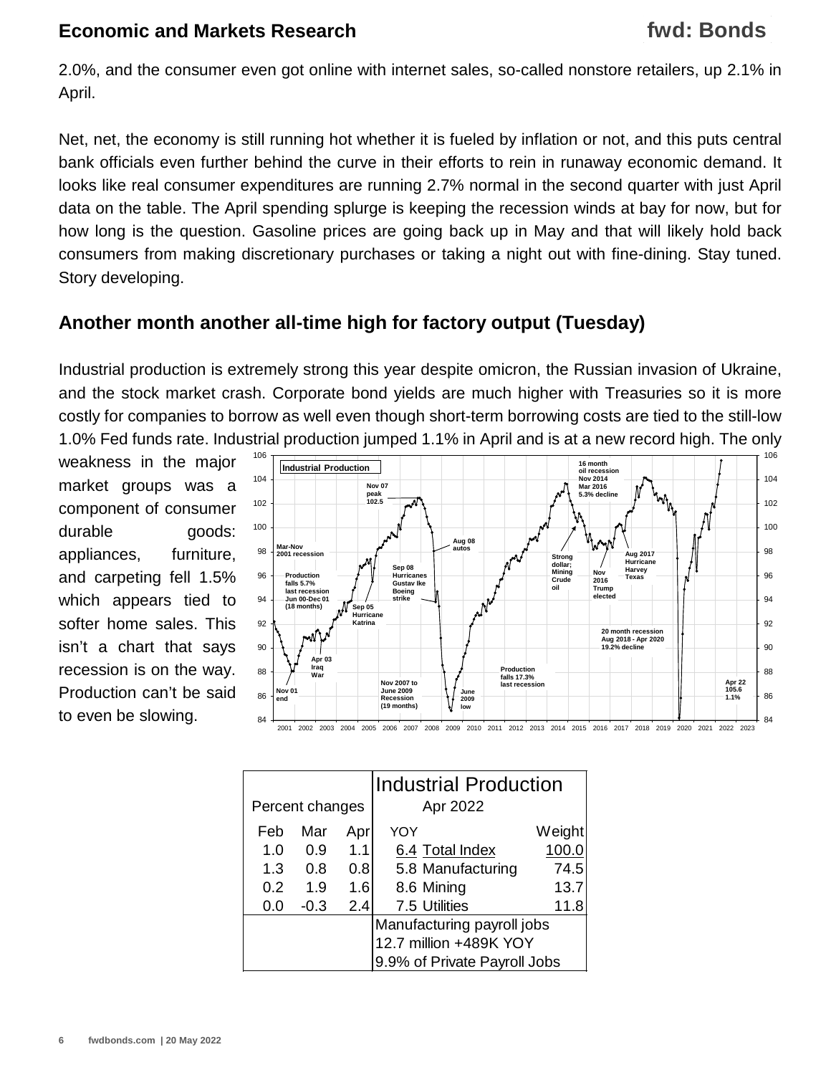2.0%, and the consumer even got online with internet sales, so-called nonstore retailers, up 2.1% in April.

Net, net, the economy is still running hot whether it is fueled by inflation or not, and this puts central bank officials even further behind the curve in their efforts to rein in runaway economic demand. It looks like real consumer expenditures are running 2.7% normal in the second quarter with just April data on the table. The April spending splurge is keeping the recession winds at bay for now, but for how long is the question. Gasoline prices are going back up in May and that will likely hold back consumers from making discretionary purchases or taking a night out with fine-dining. Stay tuned. Story developing.

### **Another month another all-time high for factory output (Tuesday)**

Industrial production is extremely strong this year despite omicron, the Russian invasion of Ukraine, and the stock market crash. Corporate bond yields are much higher with Treasuries so it is more costly for companies to borrow as well even though short-term borrowing costs are tied to the still-low 1.0% Fed funds rate. Industrial production jumped 1.1% in April and is at a new record high. The only

weakness in the major market groups was a component of consumer durable goods: appliances, furniture, and carpeting fell 1.5% which appears tied to softer home sales. This isn't a chart that says recession is on the way. Production can't be said



|                 |                            |     | Industrial Production        |        |  |  |
|-----------------|----------------------------|-----|------------------------------|--------|--|--|
| Percent changes |                            |     | Apr 2022                     |        |  |  |
| Feb             | Mar                        | Apr | YOY                          | Weight |  |  |
| 1.0             | 0.9                        | 1.1 | 6.4 Total Index              | 100.0  |  |  |
| 1.3             | 0.8                        | 0.8 | 5.8 Manufacturing            | 74.5   |  |  |
| 0.2             | 1.9                        | 1.6 | 8.6 Mining                   | 13.7   |  |  |
| 0.0             | $-0.3$                     | 2.4 | 7.5 Utilities                | 11.8   |  |  |
|                 | Manufacturing payroll jobs |     |                              |        |  |  |
|                 |                            |     | 12.7 million +489K YOY       |        |  |  |
|                 |                            |     | 9.9% of Private Payroll Jobs |        |  |  |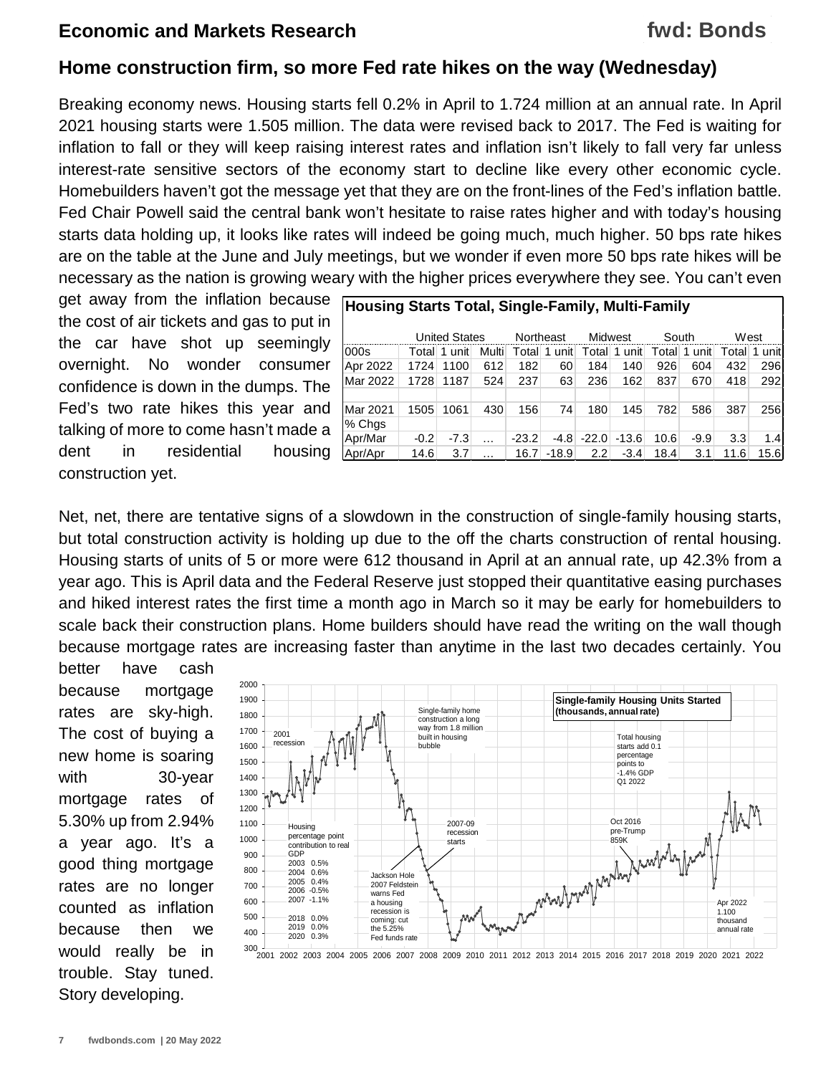#### **Home construction firm, so more Fed rate hikes on the way (Wednesday)**

Breaking economy news. Housing starts fell 0.2% in April to 1.724 million at an annual rate. In April 2021 housing starts were 1.505 million. The data were revised back to 2017. The Fed is waiting for inflation to fall or they will keep raising interest rates and inflation isn't likely to fall very far unless interest-rate sensitive sectors of the economy start to decline like every other economic cycle. Homebuilders haven't got the message yet that they are on the front-lines of the Fed's inflation battle. Fed Chair Powell said the central bank won't hesitate to raise rates higher and with today's housing starts data holding up, it looks like rates will indeed be going much, much higher. 50 bps rate hikes are on the table at the June and July meetings, but we wonder if even more 50 bps rate hikes will be necessary as the nation is growing weary with the higher prices everywhere they see. You can't even

get away from the inflation because the cost of air tickets and gas to put in the car have shot up seemingly overnight. No wonder consumer confidence is down in the dumps. The Fed's two rate hikes this year and talking of more to come hasn't made a dent in residential housing construction yet.

| <b>Housing Starts Total, Single-Family, Multi-Family</b> |        |        |           |         |           |         |           |       |        |        |         |
|----------------------------------------------------------|--------|--------|-----------|---------|-----------|---------|-----------|-------|--------|--------|---------|
| <b>United States</b>                                     |        |        | Northeast | Midwest |           | South   |           |       | West   |        |         |
| 000s                                                     | Total  | 1 unit | Multi     | Totall  | 1<br>unit | Total   | 1<br>unit | Total | 1 unit | Totall | 1 unitl |
| Apr 2022                                                 | 1724   | 1100   | 612       | 182     | 60        | 184     | 140       | 926   | 604    | 432    | 296     |
| Mar 2022                                                 | 1728   | 1187   | 524       | 237     | 63        | 236     | 162       | 837   | 670    | 418    | 292     |
|                                                          |        |        |           |         |           |         |           |       |        |        |         |
| Mar 2021                                                 | 1505   | 1061   | 430       | 156     | 74        | 180     | 145       | 782   | 586    | 387    | 256     |
| % Chgs                                                   |        |        |           |         |           |         |           |       |        |        |         |
| Apr/Mar                                                  | $-0.2$ | $-7.3$ | $\cdots$  | $-23.2$ | $-4.8$    | $-22.0$ | $-13.6$   | 10.6  | $-9.9$ | 3.3    | 1.4     |
| Apr/Apr                                                  | 14.6   | 3.7    | .         | 16.7    | $-18.9$   | 2.2     | $-3.4$    | 18.4  | 3.1    | 11.6   | 15.6    |

Net, net, there are tentative signs of a slowdown in the construction of single-family housing starts, but total construction activity is holding up due to the off the charts construction of rental housing. Housing starts of units of 5 or more were 612 thousand in April at an annual rate, up 42.3% from a year ago. This is April data and the Federal Reserve just stopped their quantitative easing purchases and hiked interest rates the first time a month ago in March so it may be early for homebuilders to scale back their construction plans. Home builders should have read the writing on the wall though because mortgage rates are increasing faster than anytime in the last two decades certainly. You

better have cash because mortgage rates are sky-high. The cost of buying a new home is soaring with 30-year mortgage rates of 5.30% up from 2.94% a year ago. It's a good thing mortgage rates are no longer counted as inflation because then we would really be in trouble. Stay tuned. Story developing.



2001 2002 2003 2004 2005 2006 2007 2008 2009 2010 2011 2012 2013 2014 2015 2016 2017 2018 2019 2020 2021 2022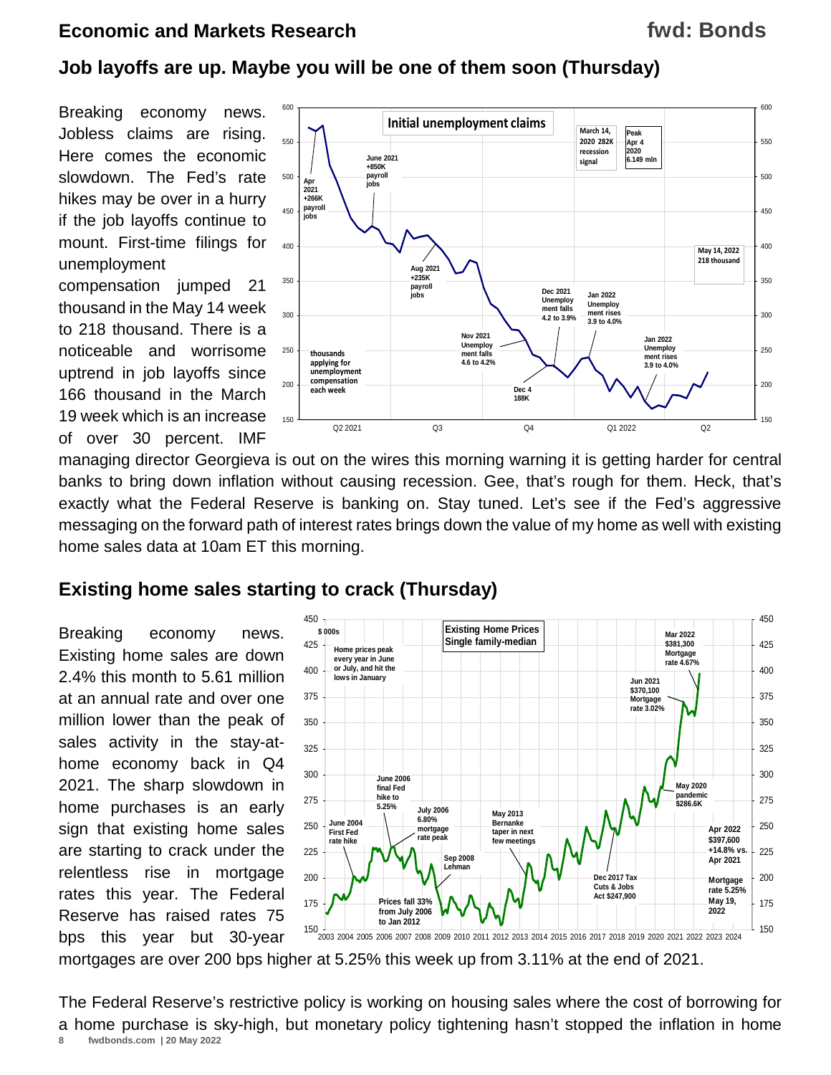#### **Job layoffs are up. Maybe you will be one of them soon (Thursday)**

Breaking economy news. Jobless claims are rising. Here comes the economic slowdown. The Fed's rate hikes may be over in a hurry if the job layoffs continue to mount. First-time filings for unemployment

compensation jumped 21 thousand in the May 14 week to 218 thousand. There is a noticeable and worrisome uptrend in job layoffs since 166 thousand in the March 19 week which is an increase of over 30 percent. IMF



managing director Georgieva is out on the wires this morning warning it is getting harder for central banks to bring down inflation without causing recession. Gee, that's rough for them. Heck, that's exactly what the Federal Reserve is banking on. Stay tuned. Let's see if the Fed's aggressive messaging on the forward path of interest rates brings down the value of my home as well with existing home sales data at 10am ET this morning.

#### **Existing home sales starting to crack (Thursday)**

Breaking economy news. Existing home sales are down 2.4% this month to 5.61 million at an annual rate and over one million lower than the peak of sales activity in the stay-athome economy back in Q4 2021. The sharp slowdown in home purchases is an early sign that existing home sales are starting to crack under the relentless rise in mortgage rates this year. The Federal Reserve has raised rates 75 bps this year but 30-year



mortgages are over 200 bps higher at 5.25% this week up from 3.11% at the end of 2021.

**8 fwdbonds.com | 20 May 2022** The Federal Reserve's restrictive policy is working on housing sales where the cost of borrowing for a home purchase is sky-high, but monetary policy tightening hasn't stopped the inflation in home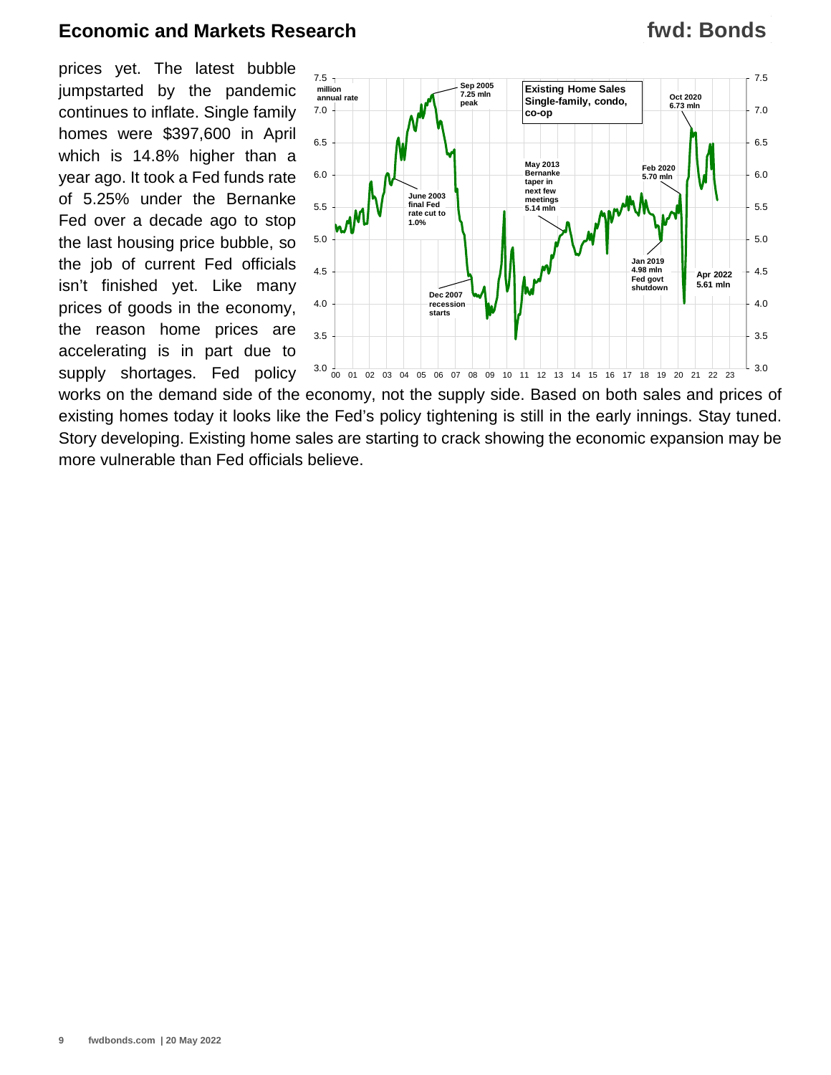prices yet. The latest bubble jumpstarted by the pandemic continues to inflate. Single family homes were \$397,600 in April which is 14.8% higher than a year ago. It took a Fed funds rate of 5.25% under the Bernanke Fed over a decade ago to stop the last housing price bubble, so the job of current Fed officials isn't finished yet. Like many prices of goods in the economy, the reason home prices are accelerating is in part due to supply shortages. Fed policy



works on the demand side of the economy, not the supply side. Based on both sales and prices of existing homes today it looks like the Fed's policy tightening is still in the early innings. Stay tuned. Story developing. Existing home sales are starting to crack showing the economic expansion may be more vulnerable than Fed officials believe.